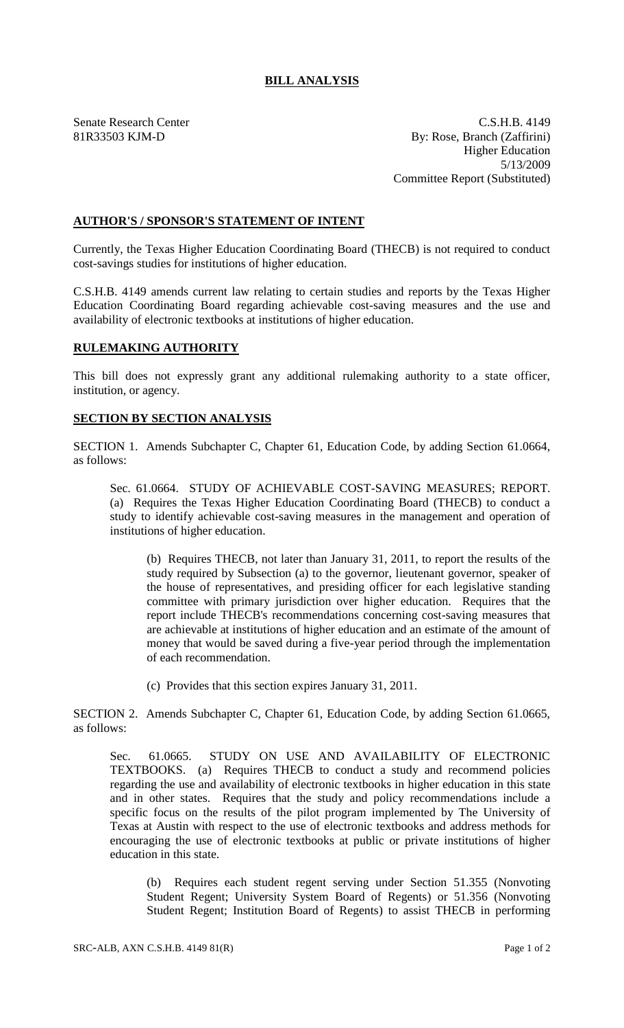## **BILL ANALYSIS**

Senate Research Center C.S.H.B. 4149 81R33503 KJM-D By: Rose, Branch (Zaffirini) Higher Education 5/13/2009 Committee Report (Substituted)

## **AUTHOR'S / SPONSOR'S STATEMENT OF INTENT**

Currently, the Texas Higher Education Coordinating Board (THECB) is not required to conduct cost-savings studies for institutions of higher education.

C.S.H.B. 4149 amends current law relating to certain studies and reports by the Texas Higher Education Coordinating Board regarding achievable cost-saving measures and the use and availability of electronic textbooks at institutions of higher education.

## **RULEMAKING AUTHORITY**

This bill does not expressly grant any additional rulemaking authority to a state officer, institution, or agency.

## **SECTION BY SECTION ANALYSIS**

SECTION 1. Amends Subchapter C, Chapter 61, Education Code, by adding Section 61.0664, as follows:

Sec. 61.0664. STUDY OF ACHIEVABLE COST-SAVING MEASURES; REPORT. (a) Requires the Texas Higher Education Coordinating Board (THECB) to conduct a study to identify achievable cost-saving measures in the management and operation of institutions of higher education.

(b) Requires THECB, not later than January 31, 2011, to report the results of the study required by Subsection (a) to the governor, lieutenant governor, speaker of the house of representatives, and presiding officer for each legislative standing committee with primary jurisdiction over higher education. Requires that the report include THECB's recommendations concerning cost-saving measures that are achievable at institutions of higher education and an estimate of the amount of money that would be saved during a five-year period through the implementation of each recommendation.

(c) Provides that this section expires January 31, 2011.

SECTION 2. Amends Subchapter C, Chapter 61, Education Code, by adding Section 61.0665, as follows:

Sec. 61.0665. STUDY ON USE AND AVAILABILITY OF ELECTRONIC TEXTBOOKS. (a) Requires THECB to conduct a study and recommend policies regarding the use and availability of electronic textbooks in higher education in this state and in other states. Requires that the study and policy recommendations include a specific focus on the results of the pilot program implemented by The University of Texas at Austin with respect to the use of electronic textbooks and address methods for encouraging the use of electronic textbooks at public or private institutions of higher education in this state.

(b) Requires each student regent serving under Section 51.355 (Nonvoting Student Regent; University System Board of Regents) or 51.356 (Nonvoting Student Regent; Institution Board of Regents) to assist THECB in performing